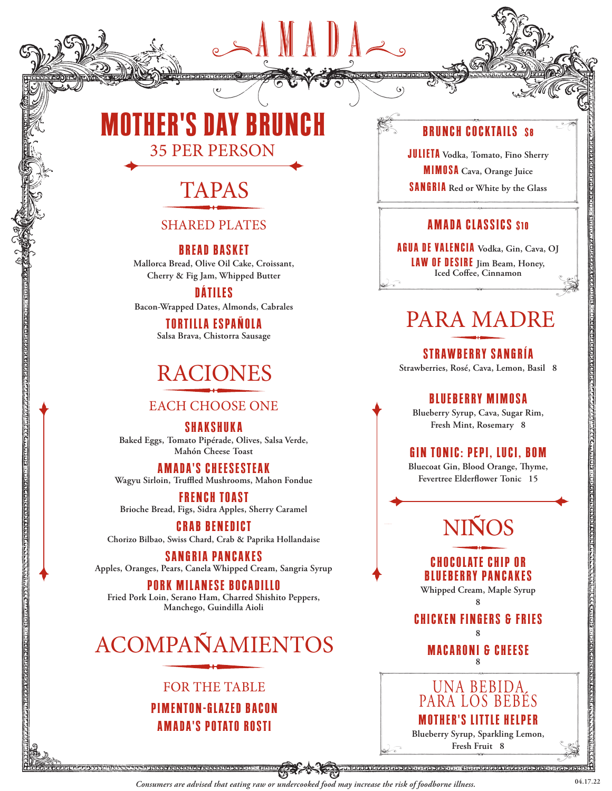# **MOTHER'S DAY BRUNCH** 35 PER PERSON



### SHARED PLATES

**BREAD BASKET**

**Mallorca Bread, Olive Oil Cake, Croissant, Cherry & Fig Jam, Whipped Butter**

**D Á T I L E S** 

**Bacon-Wrapped Dates, Almonds, Cabrales**

**TORTILLA ESPAÑOLA Salsa Brava, Chistorra Sausage**

# RACIONES

### EACH CHOOSE ONE

**SHAKSHUKA Baked Eggs, Tomato Pipérade, Olives, Salsa Verde, Mahón Cheese Toast**

**AMADA'S CHEESESTEAK Wagyu Sirloin, Truffled Mushrooms, Mahon Fondue**

**FRENCH TOAST Brioche Bread, Figs, Sidra Apples, Sherry Caramel**

**<u> Granden en densitation de la p</u>** 

**CRAB BENEDICT Chorizo Bilbao, Swiss Chard, Crab & Paprika Hollandaise** 

**SANGRIA PANCAKES Apples, Oranges, Pears, Canela Whipped Cream, Sangria Syrup**

**PORK MILANESE BOCADILLO Fried Pork Loin, Serano Ham, Charred Shishito Peppers, Manchego, Guindilla Aioli**

# ACOMPA**Ñ**AMIENTOS

## FOR THE TABLE **PIMENTON-GLAZED BACON**

**AMADA'S POTATO ROSTI**

## **BRUNCH COCKTAILS S8**

**JULIETA Vodka, Tomato, Fino Sherry MIMOSA Cava, Orange Juice SANGRIA Red or White by the Glass**

## **AMADA CLASSICS \$10**

**AGUA DE VALENCIA Vodka, Gin, Cava, OJ LAW OF DESIRE Jim Beam, Honey, Iced Coffee, Cinnamon**

# PARA MADRE

**STRAWBERRY SANGRÍA Strawberries, Rosé, Cava, Lemon, Basil 8**

## **BLUEBERRY MIMOSA**

**Blueberry Syrup, Cava, Sugar Rim, Fresh Mint, Rosemary 8**

## **GIN TONIC: PEPI, LUCI, BOM**

**Bluecoat Gin, Blood Orange, Thyme, Fevertree Elderflower Tonic 15** 

# NI**Ñ**OS

**CHOCOLATE CHIP OR BLUEBERRY PANCAKES**

**Whipped Cream, Maple Syrup 8**

**CHICKEN FINGERS & FRIES 8**

> **MACARONI & CHEESE 8**



**04.17.22** *Consumers are advised that eating raw or undercooked food may increase the risk of foodborne illness.*